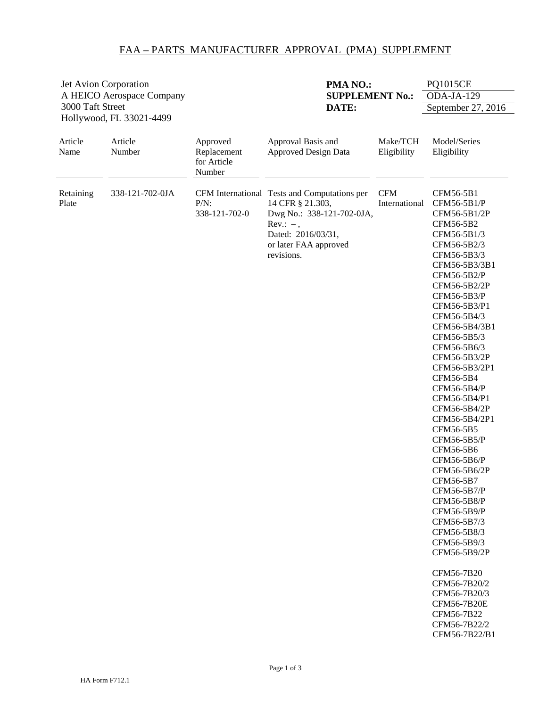## FAA – PARTS MANUFACTURER APPROVAL (PMA) SUPPLEMENT

| Jet Avion Corporation<br>A HEICO Aerospace Company<br>3000 Taft Street<br>Hollywood, FL 33021-4499 |                   |                                                  | PMA NO.:<br><b>SUPPLEMENT No.:</b><br>DATE:                                                                                                                               |                             | <b>PQ1015CE</b>                                                                                                                                                                                                                                                                                                                                                                                                                                                                                                                                                                                                                                                                 |  |
|----------------------------------------------------------------------------------------------------|-------------------|--------------------------------------------------|---------------------------------------------------------------------------------------------------------------------------------------------------------------------------|-----------------------------|---------------------------------------------------------------------------------------------------------------------------------------------------------------------------------------------------------------------------------------------------------------------------------------------------------------------------------------------------------------------------------------------------------------------------------------------------------------------------------------------------------------------------------------------------------------------------------------------------------------------------------------------------------------------------------|--|
|                                                                                                    |                   |                                                  |                                                                                                                                                                           |                             | ODA-JA-129                                                                                                                                                                                                                                                                                                                                                                                                                                                                                                                                                                                                                                                                      |  |
|                                                                                                    |                   |                                                  |                                                                                                                                                                           |                             | September 27, 2016                                                                                                                                                                                                                                                                                                                                                                                                                                                                                                                                                                                                                                                              |  |
| Article<br>Name                                                                                    | Article<br>Number | Approved<br>Replacement<br>for Article<br>Number | Approval Basis and<br><b>Approved Design Data</b>                                                                                                                         | Make/TCH<br>Eligibility     | Model/Series<br>Eligibility                                                                                                                                                                                                                                                                                                                                                                                                                                                                                                                                                                                                                                                     |  |
| Retaining<br>Plate                                                                                 | 338-121-702-0JA   | $P/N$ :<br>338-121-702-0                         | CFM International Tests and Computations per<br>14 CFR § 21.303,<br>Dwg No.: 338-121-702-0JA,<br>$Rev.: -$ ,<br>Dated: 2016/03/31,<br>or later FAA approved<br>revisions. | <b>CFM</b><br>International | CFM56-5B1<br>CFM56-5B1/P<br>CFM56-5B1/2P<br>CFM56-5B2<br>CFM56-5B1/3<br>CFM56-5B2/3<br>CFM56-5B3/3<br>CFM56-5B3/3B1<br>CFM56-5B2/P<br>CFM56-5B2/2P<br>CFM56-5B3/P<br>CFM56-5B3/P1<br>CFM56-5B4/3<br>CFM56-5B4/3B1<br>CFM56-5B5/3<br>CFM56-5B6/3<br>CFM56-5B3/2P<br>CFM56-5B3/2P1<br>CFM56-5B4<br>CFM56-5B4/P<br>CFM56-5B4/P1<br>CFM56-5B4/2P<br>CFM56-5B4/2P1<br>CFM56-5B5<br>CFM56-5B5/P<br>CFM56-5B6<br>CFM56-5B6/P<br>CFM56-5B6/2P<br>CFM56-5B7<br>CFM56-5B7/P<br>CFM56-5B8/P<br>CFM56-5B9/P<br>CFM56-5B7/3<br>CFM56-5B8/3<br>CFM56-5B9/3<br>CFM56-5B9/2P<br>CFM56-7B20<br>CFM56-7B20/2<br>CFM56-7B20/3<br><b>CFM56-7B20E</b><br>CFM56-7B22<br>CFM56-7B22/2<br>CFM56-7B22/B1 |  |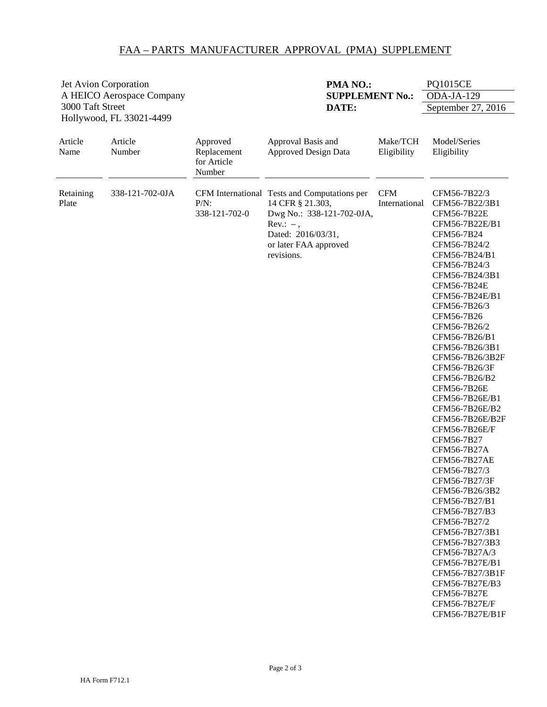## FAA – PARTS MANUFACTURER APPROVAL (PMA) SUPPLEMENT

| Jet Avion Corporation                        |                           |                                                  | PMA NO.:                                                                                                                                                                  |                             | <b>PQ1015CE</b>                                                                                                                                                                                                                                                                                                                                                                                                                                                                                                                                                                                                                                                                                                                                             |
|----------------------------------------------|---------------------------|--------------------------------------------------|---------------------------------------------------------------------------------------------------------------------------------------------------------------------------|-----------------------------|-------------------------------------------------------------------------------------------------------------------------------------------------------------------------------------------------------------------------------------------------------------------------------------------------------------------------------------------------------------------------------------------------------------------------------------------------------------------------------------------------------------------------------------------------------------------------------------------------------------------------------------------------------------------------------------------------------------------------------------------------------------|
|                                              | A HEICO Aerospace Company |                                                  | <b>SUPPLEMENT No.:</b>                                                                                                                                                    |                             | ODA-JA-129                                                                                                                                                                                                                                                                                                                                                                                                                                                                                                                                                                                                                                                                                                                                                  |
| 3000 Taft Street<br>Hollywood, FL 33021-4499 |                           |                                                  | DATE:                                                                                                                                                                     |                             | September 27, 2016                                                                                                                                                                                                                                                                                                                                                                                                                                                                                                                                                                                                                                                                                                                                          |
| Article<br>Name                              | Article<br>Number         | Approved<br>Replacement<br>for Article<br>Number | Approval Basis and<br><b>Approved Design Data</b>                                                                                                                         | Make/TCH<br>Eligibility     | Model/Series<br>Eligibility                                                                                                                                                                                                                                                                                                                                                                                                                                                                                                                                                                                                                                                                                                                                 |
| Retaining<br>Plate                           | 338-121-702-0JA           | $P/N$ :<br>338-121-702-0                         | CFM International Tests and Computations per<br>14 CFR § 21.303,<br>Dwg No.: 338-121-702-0JA,<br>$Rev.: -$ ,<br>Dated: 2016/03/31,<br>or later FAA approved<br>revisions. | <b>CFM</b><br>International | CFM56-7B22/3<br>CFM56-7B22/3B1<br>CFM56-7B22E<br>CFM56-7B22E/B1<br>CFM56-7B24<br>CFM56-7B24/2<br>CFM56-7B24/B1<br>CFM56-7B24/3<br>CFM56-7B24/3B1<br><b>CFM56-7B24E</b><br>CFM56-7B24E/B1<br>CFM56-7B26/3<br>CFM56-7B26<br>CFM56-7B26/2<br>CFM56-7B26/B1<br>CFM56-7B26/3B1<br>CFM56-7B26/3B2F<br>CFM56-7B26/3F<br>CFM56-7B26/B2<br><b>CFM56-7B26E</b><br>CFM56-7B26E/B1<br>CFM56-7B26E/B2<br>CFM56-7B26E/B2F<br>CFM56-7B26E/F<br>CFM56-7B27<br>CFM56-7B27A<br><b>CFM56-7B27AE</b><br>CFM56-7B27/3<br>CFM56-7B27/3F<br>CFM56-7B26/3B2<br>CFM56-7B27/B1<br>CFM56-7B27/B3<br>CFM56-7B27/2<br>CFM56-7B27/3B1<br>CFM56-7B27/3B3<br>CFM56-7B27A/3<br>CFM56-7B27E/B1<br>CFM56-7B27/3B1F<br>CFM56-7B27E/B3<br><b>CFM56-7B27E</b><br>CFM56-7B27E/F<br>CFM56-7B27E/B1F |